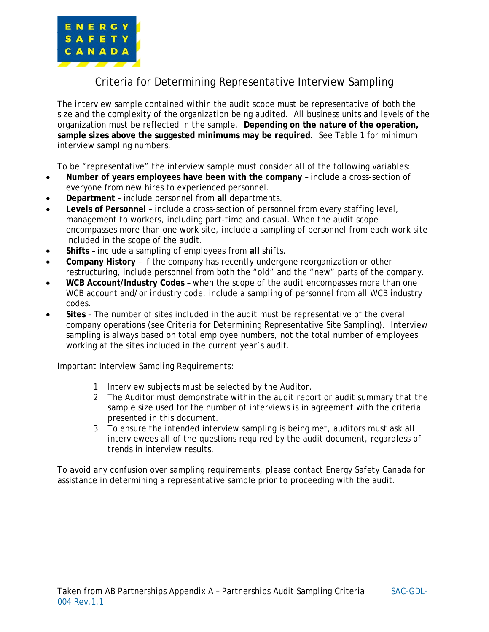

## Criteria for Determining Representative Interview Sampling

The interview sample contained within the audit scope must be representative of both the size and the complexity of the organization being audited. All business units and levels of the organization must be reflected in the sample. **Depending on the nature of the operation, sample sizes above the suggested minimums may be required.** See Table 1 for minimum interview sampling numbers.

To be "representative" the interview sample must consider all of the following variables:

- **Number of years employees have been with the company** include a cross-section of everyone from new hires to experienced personnel.
- **Department** include personnel from **all** departments.
- **Levels of Personnel** include a cross-section of personnel from every staffing level, management to workers, including part-time and casual. When the audit scope encompasses more than one work site, include a sampling of personnel from each work site included in the scope of the audit.
- **Shifts** include a sampling of employees from **all** shifts.
- **Company History** if the company has recently undergone reorganization or other restructuring, include personnel from both the "old" and the "new" parts of the company.
- **WCB Account/Industry Codes** when the scope of the audit encompasses more than one WCB account and/or industry code, include a sampling of personnel from all WCB industry codes.
- **Sites**  The number of sites included in the audit must be representative of the overall company operations (see Criteria for Determining Representative Site Sampling). Interview sampling is always based on total employee numbers, not the total number of employees working at the sites included in the current year's audit.

Important Interview Sampling Requirements:

- 1. Interview subjects must be selected by the Auditor.
- 2. The Auditor must demonstrate within the audit report or audit summary that the sample size used for the number of interviews is in agreement with the criteria presented in this document.
- 3. To ensure the intended interview sampling is being met, auditors must ask all interviewees all of the questions required by the audit document, regardless of trends in interview results.

To avoid any confusion over sampling requirements, please contact Energy Safety Canada for assistance in determining a representative sample prior to proceeding with the audit.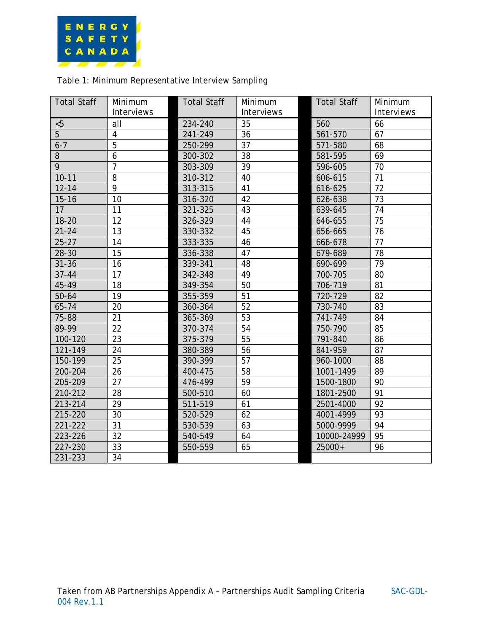

## Table 1: Minimum Representative Interview Sampling

| <b>Total Staff</b> | Minimum<br><b>Interviews</b> | <b>Total Staff</b> | Minimum<br>Interviews | <b>Total Staff</b> | Minimum<br>Interviews |
|--------------------|------------------------------|--------------------|-----------------------|--------------------|-----------------------|
| < 5                | all                          | 234-240            | 35                    | 560                | 66                    |
| 5                  | $\overline{4}$               | 241-249            | 36                    | 561-570            | 67                    |
| $6 - 7$            | 5                            | 250-299            | 37                    | 571-580            | 68                    |
| 8                  | 6                            | 300-302            | 38                    | 581-595            | 69                    |
| 9                  | $\overline{7}$               | 303-309            | 39                    | 596-605            | 70                    |
| $10 - 11$          | 8                            | 310-312            | 40                    | 606-615            | 71                    |
| $12 - 14$          | $\overline{9}$               | 313-315            | 41                    | 616-625            | 72                    |
| $15 - 16$          | 10                           | 316-320            | 42                    | 626-638            | 73                    |
| 17                 | 11                           | 321-325            | 43                    | 639-645            | 74                    |
| $18 - 20$          | 12                           | 326-329            | 44                    | 646-655            | 75                    |
| $21 - 24$          | 13                           | 330-332            | 45                    | 656-665            | 76                    |
| $25 - 27$          | 14                           | 333-335            | 46                    | 666-678            | 77                    |
| 28-30              | 15                           | 336-338            | 47                    | 679-689            | 78                    |
| $31 - 36$          | 16                           | 339-341            | 48                    | 690-699            | 79                    |
| $37 - 44$          | 17                           | 342-348            | 49                    | 700-705            | 80                    |
| 45-49              | 18                           | 349-354            | 50                    | 706-719            | 81                    |
| $50 - 64$          | 19                           | 355-359            | 51                    | 720-729            | 82                    |
| 65-74              | 20                           | 360-364            | 52                    | 730-740            | 83                    |
| 75-88              | 21                           | 365-369            | 53                    | 741-749            | 84                    |
| 89-99              | 22                           | 370-374            | 54                    | 750-790            | 85                    |
| 100-120            | 23                           | 375-379            | 55                    | 791-840            | 86                    |
| 121-149            | 24                           | 380-389            | 56                    | 841-959            | 87                    |
| 150-199            | 25                           | 390-399            | 57                    | 960-1000           | 88                    |
| 200-204            | 26                           | 400-475            | 58                    | 1001-1499          | 89                    |
| 205-209            | 27                           | 476-499            | 59                    | 1500-1800          | 90                    |
| 210-212            | 28                           | 500-510            | 60                    | 1801-2500          | 91                    |
| 213-214            | 29                           | 511-519            | 61                    | 2501-4000          | 92                    |
| 215-220            | 30                           | 520-529            | 62                    | 4001-4999          | 93                    |
| 221-222            | 31                           | 530-539            | 63                    | 5000-9999          | 94                    |
| 223-226            | 32                           | 540-549            | 64                    | 10000-24999        | 95                    |
| 227-230            | 33                           | 550-559            | 65                    | 25000+             | 96                    |
| 231-233            | 34                           |                    |                       |                    |                       |